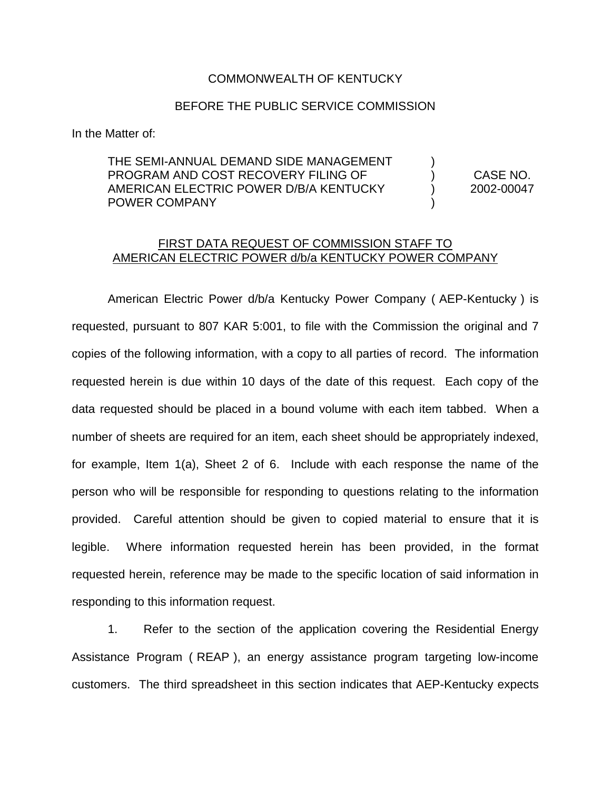## COMMONWEALTH OF KENTUCKY

## BEFORE THE PUBLIC SERVICE COMMISSION

In the Matter of:

## THE SEMI-ANNUAL DEMAND SIDE MANAGEMENT PROGRAM AND COST RECOVERY FILING OF  $(1, 0)$  CASE NO. AMERICAN ELECTRIC POWER D/B/A KENTUCKY (2002-00047 POWER COMPANY )

## FIRST DATA REQUEST OF COMMISSION STAFF TO AMERICAN ELECTRIC POWER d/b/a KENTUCKY POWER COMPANY

American Electric Power d/b/a Kentucky Power Company ( AEP-Kentucky ) is requested, pursuant to 807 KAR 5:001, to file with the Commission the original and 7 copies of the following information, with a copy to all parties of record. The information requested herein is due within 10 days of the date of this request. Each copy of the data requested should be placed in a bound volume with each item tabbed. When a number of sheets are required for an item, each sheet should be appropriately indexed, for example, Item 1(a), Sheet 2 of 6. Include with each response the name of the person who will be responsible for responding to questions relating to the information provided. Careful attention should be given to copied material to ensure that it is legible. Where information requested herein has been provided, in the format requested herein, reference may be made to the specific location of said information in responding to this information request.

1. Refer to the section of the application covering the Residential Energy Assistance Program ( REAP ), an energy assistance program targeting low-income customers. The third spreadsheet in this section indicates that AEP-Kentucky expects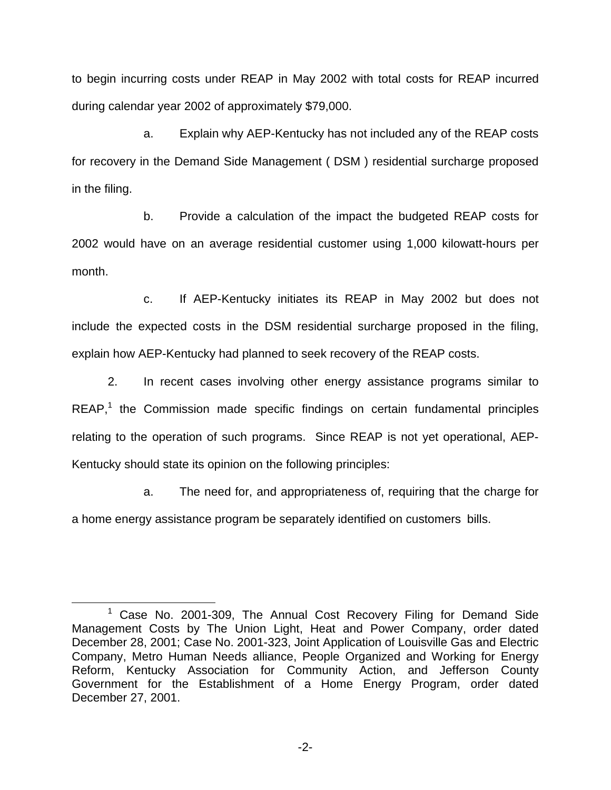to begin incurring costs under REAP in May 2002 with total costs for REAP incurred during calendar year 2002 of approximately \$79,000.

a. Explain why AEP-Kentucky has not included any of the REAP costs for recovery in the Demand Side Management ( DSM ) residential surcharge proposed in the filing.

b. Provide a calculation of the impact the budgeted REAP costs for 2002 would have on an average residential customer using 1,000 kilowatt-hours per month.

c. If AEP-Kentucky initiates its REAP in May 2002 but does not include the expected costs in the DSM residential surcharge proposed in the filing, explain how AEP-Kentucky had planned to seek recovery of the REAP costs.

2. In recent cases involving other energy assistance programs similar to  $REAP<sub>1</sub><sup>1</sup>$  the Commission made specific findings on certain fundamental principles relating to the operation of such programs. Since REAP is not yet operational, AEP-Kentucky should state its opinion on the following principles:

a. The need for, and appropriateness of, requiring that the charge for a home energy assistance program be separately identified on customers bills.

<sup>&</sup>lt;sup>1</sup> Case No. 2001-309, The Annual Cost Recovery Filing for Demand Side Management Costs by The Union Light, Heat and Power Company, order dated December 28, 2001; Case No. 2001-323, Joint Application of Louisville Gas and Electric Company, Metro Human Needs alliance, People Organized and Working for Energy Reform, Kentucky Association for Community Action, and Jefferson County Government for the Establishment of a Home Energy Program, order dated December 27, 2001.